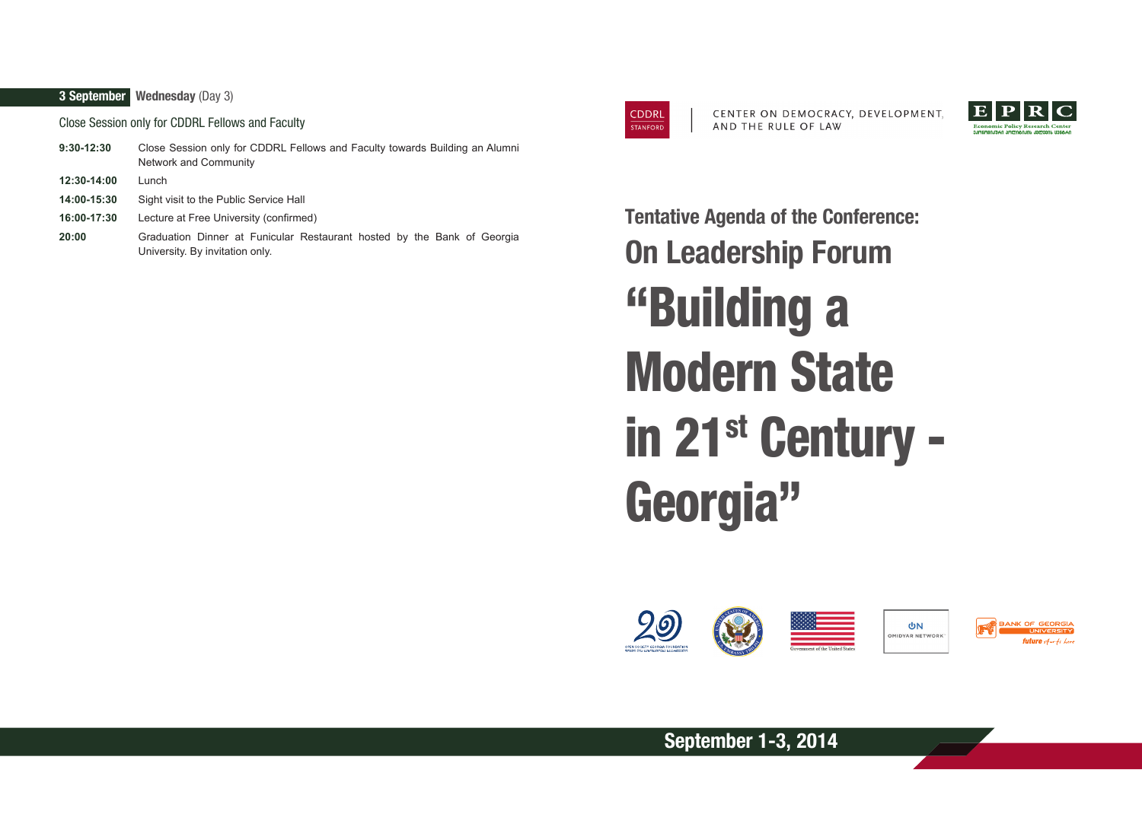## **3 September Wednesday** (Day 3)

Close Session only for CDDRL Fellows and Faculty

| 9:30-12:30  | Close Session only for CDDRL Fellows and Faculty towards Building an Alumni<br>Network and Community       |
|-------------|------------------------------------------------------------------------------------------------------------|
| 12:30-14:00 | Lunch                                                                                                      |
| 14:00-15:30 | Sight visit to the Public Service Hall                                                                     |
| 16:00-17:30 | Lecture at Free University (confirmed)                                                                     |
| 20:00       | Graduation Dinner at Funicular Restaurant hosted by the Bank of Georgia<br>University. By invitation only. |



CENTER ON DEMOCRACY, DEVELOPMENT, AND THE RULE OF LAW



"Building a Modern State in 21st Century - Georgia" **Tentative Agenda of the Conference: On Leadership Forum**